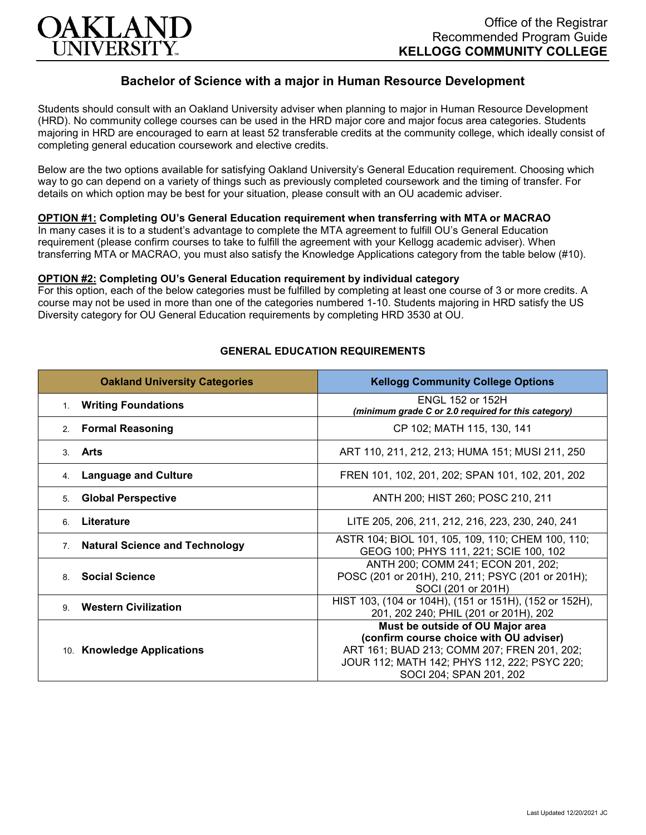

# **Bachelor of Science with a major in Human Resource Development**

Students should consult with an Oakland University adviser when planning to major in Human Resource Development (HRD). No community college courses can be used in the HRD major core and major focus area categories. Students majoring in HRD are encouraged to earn at least 52 transferable credits at the community college, which ideally consist of completing general education coursework and elective credits.

Below are the two options available for satisfying Oakland University's General Education requirement. Choosing which way to go can depend on a variety of things such as previously completed coursework and the timing of transfer. For details on which option may be best for your situation, please consult with an OU academic adviser.

## **OPTION #1: Completing OU's General Education requirement when transferring with MTA or MACRAO**

In many cases it is to a student's advantage to complete the MTA agreement to fulfill OU's General Education requirement (please confirm courses to take to fulfill the agreement with your Kellogg academic adviser). When transferring MTA or MACRAO, you must also satisfy the Knowledge Applications category from the table below (#10).

#### **OPTION #2: Completing OU's General Education requirement by individual category**

For this option, each of the below categories must be fulfilled by completing at least one course of 3 or more credits. A course may not be used in more than one of the categories numbered 1-10. Students majoring in HRD satisfy the US Diversity category for OU General Education requirements by completing HRD 3530 at OU.

| <b>Oakland University Categories</b>        | <b>Kellogg Community College Options</b>                                                                                                                                                              |
|---------------------------------------------|-------------------------------------------------------------------------------------------------------------------------------------------------------------------------------------------------------|
| <b>Writing Foundations</b><br>1.            | <b>ENGL 152 or 152H</b><br>(minimum grade C or 2.0 required for this category)                                                                                                                        |
| <b>Formal Reasoning</b><br>2.               | CP 102; MATH 115, 130, 141                                                                                                                                                                            |
| Arts<br>3                                   | ART 110, 211, 212, 213; HUMA 151; MUSI 211, 250                                                                                                                                                       |
| <b>Language and Culture</b><br>4.           | FREN 101, 102, 201, 202; SPAN 101, 102, 201, 202                                                                                                                                                      |
| <b>Global Perspective</b><br>5.             | ANTH 200; HIST 260; POSC 210, 211                                                                                                                                                                     |
| Literature<br>6.                            | LITE 205, 206, 211, 212, 216, 223, 230, 240, 241                                                                                                                                                      |
| <b>Natural Science and Technology</b><br>7. | ASTR 104; BIOL 101, 105, 109, 110; CHEM 100, 110;<br>GEOG 100; PHYS 111, 221; SCIE 100, 102                                                                                                           |
| <b>Social Science</b><br>8                  | ANTH 200; COMM 241; ECON 201, 202;<br>POSC (201 or 201H), 210, 211; PSYC (201 or 201H);<br>SOCI (201 or 201H)                                                                                         |
| <b>Western Civilization</b><br>9            | HIST 103, (104 or 104H), (151 or 151H), (152 or 152H),<br>201, 202 240; PHIL (201 or 201H), 202                                                                                                       |
| 10. Knowledge Applications                  | Must be outside of OU Major area<br>(confirm course choice with OU adviser)<br>ART 161; BUAD 213; COMM 207; FREN 201, 202;<br>JOUR 112; MATH 142; PHYS 112, 222; PSYC 220;<br>SOCI 204; SPAN 201, 202 |

## **GENERAL EDUCATION REQUIREMENTS**